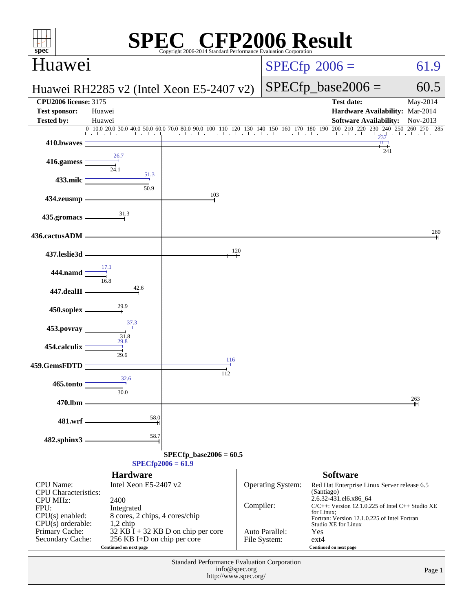| <b>CFP2006 Result</b><br>spec®<br>Copyright 2006-2014 Standard Performance Evaluation Corporation                                                                      |                                                                               |                                          |           |                                |                                                                                                                                                                                                           |                      |  |  |
|------------------------------------------------------------------------------------------------------------------------------------------------------------------------|-------------------------------------------------------------------------------|------------------------------------------|-----------|--------------------------------|-----------------------------------------------------------------------------------------------------------------------------------------------------------------------------------------------------------|----------------------|--|--|
| Huawei                                                                                                                                                                 |                                                                               |                                          |           |                                | $SPECfp^{\circ}2006 =$                                                                                                                                                                                    | 61.9                 |  |  |
|                                                                                                                                                                        |                                                                               | Huawei RH2285 v2 (Intel Xeon E5-2407 v2) |           |                                | $SPECfp\_base2006 =$                                                                                                                                                                                      | 60.5                 |  |  |
| <b>CPU2006 license: 3175</b><br><b>Test sponsor:</b><br><b>Tested by:</b>                                                                                              | Huawei<br>Huawei                                                              |                                          |           |                                | <b>Test date:</b><br>Hardware Availability: Mar-2014<br><b>Software Availability:</b>                                                                                                                     | May-2014<br>Nov-2013 |  |  |
| 410.bwaves                                                                                                                                                             |                                                                               |                                          |           |                                |                                                                                                                                                                                                           | 260<br>270<br>285    |  |  |
| 416.gamess                                                                                                                                                             | 26.7                                                                          |                                          |           |                                | 241                                                                                                                                                                                                       |                      |  |  |
| 433.milc                                                                                                                                                               | 51.3<br>50.9                                                                  |                                          |           |                                |                                                                                                                                                                                                           |                      |  |  |
| 434.zeusmp                                                                                                                                                             |                                                                               | 103                                      |           |                                |                                                                                                                                                                                                           |                      |  |  |
| 435.gromacs                                                                                                                                                            |                                                                               |                                          |           |                                |                                                                                                                                                                                                           |                      |  |  |
| 436.cactusADM                                                                                                                                                          |                                                                               |                                          |           |                                |                                                                                                                                                                                                           | 280                  |  |  |
| 437.leslie3d                                                                                                                                                           |                                                                               |                                          | 120       |                                |                                                                                                                                                                                                           |                      |  |  |
| 444.namd                                                                                                                                                               |                                                                               |                                          |           |                                |                                                                                                                                                                                                           |                      |  |  |
| 447.dealII                                                                                                                                                             | 42.6                                                                          |                                          |           |                                |                                                                                                                                                                                                           |                      |  |  |
| 450.soplex                                                                                                                                                             | 29.9<br>37.3                                                                  |                                          |           |                                |                                                                                                                                                                                                           |                      |  |  |
| 453.povray                                                                                                                                                             | 31.8<br>29.8                                                                  |                                          |           |                                |                                                                                                                                                                                                           |                      |  |  |
| 454.calculix                                                                                                                                                           | 29.6                                                                          | 116                                      |           |                                |                                                                                                                                                                                                           |                      |  |  |
| 459.GemsFDTD<br>465.tonto                                                                                                                                              | 32.6                                                                          | 112                                      |           |                                |                                                                                                                                                                                                           |                      |  |  |
| 470.lbm                                                                                                                                                                | 30.0                                                                          |                                          |           |                                |                                                                                                                                                                                                           | 263                  |  |  |
| 481.wrf                                                                                                                                                                | 58.0                                                                          |                                          |           |                                |                                                                                                                                                                                                           |                      |  |  |
| 482.sphinx3                                                                                                                                                            | 58.7                                                                          |                                          |           |                                |                                                                                                                                                                                                           |                      |  |  |
| $SPECfp\_base2006 = 60.5$<br>$SPECfp2006 = 61.9$                                                                                                                       |                                                                               |                                          |           |                                |                                                                                                                                                                                                           |                      |  |  |
|                                                                                                                                                                        | <b>Hardware</b>                                                               |                                          |           |                                | <b>Software</b>                                                                                                                                                                                           |                      |  |  |
| <b>CPU</b> Name:<br><b>CPU</b> Characteristics:<br><b>CPU MHz:</b><br>FPU:<br>$CPU(s)$ enabled:                                                                        | Intel Xeon E5-2407 v2<br>2400<br>Integrated<br>8 cores, 2 chips, 4 cores/chip |                                          | Compiler: | Operating System:              | Red Hat Enterprise Linux Server release 6.5<br>(Santiago)<br>2.6.32-431.el6.x86_64<br>$C/C++$ : Version 12.1.0.225 of Intel $C++$ Studio XE<br>for Linux;<br>Fortran: Version 12.1.0.225 of Intel Fortran |                      |  |  |
| $CPU(s)$ orderable:<br>$1,2$ chip<br>Primary Cache:<br>32 KB I + 32 KB D on chip per core<br>256 KB I+D on chip per core<br>Secondary Cache:<br>Continued on next page |                                                                               |                                          |           | Auto Parallel:<br>File System: | Studio XE for Linux<br>Yes<br>$ext{4}$<br>Continued on next page                                                                                                                                          |                      |  |  |
| Standard Performance Evaluation Corporation<br>info@spec.org<br>Page 1<br>http://www.spec.org/                                                                         |                                                                               |                                          |           |                                |                                                                                                                                                                                                           |                      |  |  |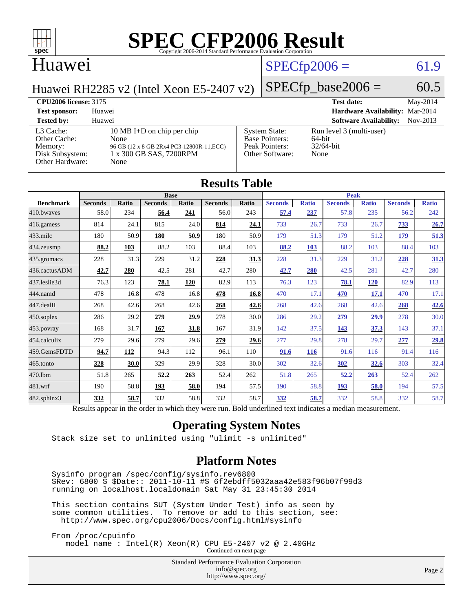

#### Huawei

#### $SPECfp2006 = 61.9$  $SPECfp2006 = 61.9$

Huawei RH2285 v2 (Intel Xeon E5-2407 v2)

 $SPECfp\_base2006 = 60.5$ 

#### **[CPU2006 license:](http://www.spec.org/auto/cpu2006/Docs/result-fields.html#CPU2006license)** 3175 **[Test date:](http://www.spec.org/auto/cpu2006/Docs/result-fields.html#Testdate)** May-2014 **[Test sponsor:](http://www.spec.org/auto/cpu2006/Docs/result-fields.html#Testsponsor)** Huawei **[Hardware Availability:](http://www.spec.org/auto/cpu2006/Docs/result-fields.html#HardwareAvailability)** Mar-2014 **[Tested by:](http://www.spec.org/auto/cpu2006/Docs/result-fields.html#Testedby)** Huawei **[Software Availability:](http://www.spec.org/auto/cpu2006/Docs/result-fields.html#SoftwareAvailability)** Nov-2013 [L3 Cache:](http://www.spec.org/auto/cpu2006/Docs/result-fields.html#L3Cache) 10 MB I+D on chip per chip<br>Other Cache: None [Other Cache:](http://www.spec.org/auto/cpu2006/Docs/result-fields.html#OtherCache) [Memory:](http://www.spec.org/auto/cpu2006/Docs/result-fields.html#Memory) 96 GB (12 x 8 GB 2Rx4 PC3-12800R-11,ECC) [Disk Subsystem:](http://www.spec.org/auto/cpu2006/Docs/result-fields.html#DiskSubsystem) 1 x 300 GB SAS, 7200RPM [Other Hardware:](http://www.spec.org/auto/cpu2006/Docs/result-fields.html#OtherHardware) None [System State:](http://www.spec.org/auto/cpu2006/Docs/result-fields.html#SystemState) Run level 3 (multi-user)<br>Base Pointers: 64-bit [Base Pointers:](http://www.spec.org/auto/cpu2006/Docs/result-fields.html#BasePointers) 64-bit<br>Peak Pointers: 32/64-bit [Peak Pointers:](http://www.spec.org/auto/cpu2006/Docs/result-fields.html#PeakPointers) [Other Software:](http://www.spec.org/auto/cpu2006/Docs/result-fields.html#OtherSoftware) None

| <b>Results Table</b> |                                                                                                          |       |                |       |                |       |                |              |                |              |                |              |
|----------------------|----------------------------------------------------------------------------------------------------------|-------|----------------|-------|----------------|-------|----------------|--------------|----------------|--------------|----------------|--------------|
|                      | <b>Base</b>                                                                                              |       |                |       | <b>Peak</b>    |       |                |              |                |              |                |              |
| <b>Benchmark</b>     | <b>Seconds</b>                                                                                           | Ratio | <b>Seconds</b> | Ratio | <b>Seconds</b> | Ratio | <b>Seconds</b> | <b>Ratio</b> | <b>Seconds</b> | <b>Ratio</b> | <b>Seconds</b> | <b>Ratio</b> |
| 410.bwayes           | 58.0                                                                                                     | 234   | 56.4           | 241   | 56.0           | 243   | 57.4           | 237          | 57.8           | 235          | 56.2           | 242          |
| 416.gamess           | 814                                                                                                      | 24.1  | 815            | 24.0  | 814            | 24.1  | 733            | 26.7         | 733            | 26.7         | 733            | 26.7         |
| $433$ .milc          | 180                                                                                                      | 50.9  | 180            | 50.9  | 180            | 50.9  | 179            | 51.3         | 179            | 51.2         | 179            | 51.3         |
| $434$ . zeusmp       | 88.2                                                                                                     | 103   | 88.2           | 103   | 88.4           | 103   | 88.2           | 103          | 88.2           | 103          | 88.4           | 103          |
| 435.gromacs          | 228                                                                                                      | 31.3  | 229            | 31.2  | 228            | 31.3  | 228            | 31.3         | 229            | 31.2         | 228            | 31.3         |
| 436.cactusADM        | 42.7                                                                                                     | 280   | 42.5           | 281   | 42.7           | 280   | 42.7           | 280          | 42.5           | 281          | 42.7           | 280          |
| 437.leslie3d         | 76.3                                                                                                     | 123   | 78.1           | 120   | 82.9           | 113   | 76.3           | 123          | 78.1           | <b>120</b>   | 82.9           | 113          |
| 444.namd             | 478                                                                                                      | 16.8  | 478            | 16.8  | 478            | 16.8  | 470            | 17.1         | 470            | 17.1         | 470            | 17.1         |
| $447$ .dealII        | 268                                                                                                      | 42.6  | 268            | 42.6  | 268            | 42.6  | 268            | 42.6         | 268            | 42.6         | 268            | 42.6         |
| $450$ .soplex        | 286                                                                                                      | 29.2  | 279            | 29.9  | 278            | 30.0  | 286            | 29.2         | 279            | 29.9         | 278            | 30.0         |
| $453$ .povray        | 168                                                                                                      | 31.7  | 167            | 31.8  | 167            | 31.9  | 142            | 37.5         | 143            | 37.3         | 143            | 37.1         |
| 454.calculix         | 279                                                                                                      | 29.6  | 279            | 29.6  | 279            | 29.6  | 277            | 29.8         | 278            | 29.7         | 277            | 29.8         |
| 459.GemsFDTD         | 94.7                                                                                                     | 112   | 94.3           | 112   | 96.1           | 110   | 91.6           | <b>116</b>   | 91.6           | 116          | 91.4           | 116          |
| 465.tonto            | 328                                                                                                      | 30.0  | 329            | 29.9  | 328            | 30.0  | 302            | 32.6         | 302            | 32.6         | 303            | 32.4         |
| 470.1bm              | 51.8                                                                                                     | 265   | 52.2           | 263   | 52.4           | 262   | 51.8           | 265          | 52.2           | 263          | 52.4           | 262          |
| 481.wrf              | 190                                                                                                      | 58.8  | 193            | 58.0  | 194            | 57.5  | 190            | 58.8         | 193            | 58.0         | 194            | 57.5         |
| $482$ .sphinx $3$    | 332                                                                                                      | 58.7  | 332            | 58.8  | 332            | 58.7  | 332            | 58.7         | 332            | 58.8         | 332            | 58.7         |
|                      | Results appear in the order in which they were run. Bold underlined text indicates a median measurement. |       |                |       |                |       |                |              |                |              |                |              |

#### **[Operating System Notes](http://www.spec.org/auto/cpu2006/Docs/result-fields.html#OperatingSystemNotes)**

Stack size set to unlimited using "ulimit -s unlimited"

#### **[Platform Notes](http://www.spec.org/auto/cpu2006/Docs/result-fields.html#PlatformNotes)**

 Sysinfo program /spec/config/sysinfo.rev6800 \$Rev: 6800 \$ \$Date:: 2011-10-11 #\$ 6f2ebdff5032aaa42e583f96b07f99d3 running on localhost.localdomain Sat May 31 23:45:30 2014

 This section contains SUT (System Under Test) info as seen by some common utilities. To remove or add to this section, see: <http://www.spec.org/cpu2006/Docs/config.html#sysinfo>

 From /proc/cpuinfo model name : Intel(R) Xeon(R) CPU E5-2407 v2 @ 2.40GHz

Continued on next page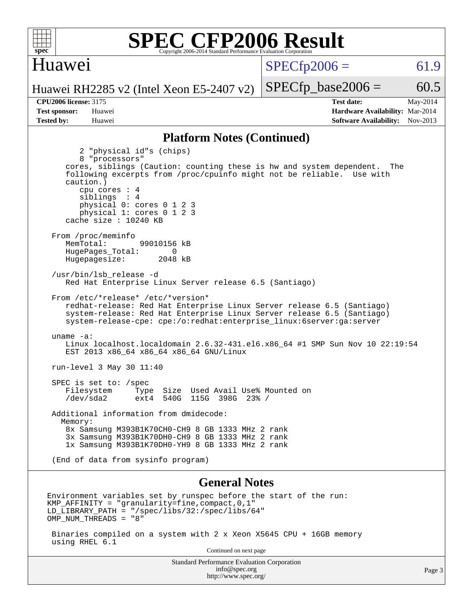

#### Huawei

 $SPECTp2006 = 61.9$ 

Huawei RH2285 v2 (Intel Xeon E5-2407 v2)

using RHEL 6.1

**[CPU2006 license:](http://www.spec.org/auto/cpu2006/Docs/result-fields.html#CPU2006license)** 3175 **[Test date:](http://www.spec.org/auto/cpu2006/Docs/result-fields.html#Testdate)** May-2014 **[Test sponsor:](http://www.spec.org/auto/cpu2006/Docs/result-fields.html#Testsponsor)** Huawei **[Hardware Availability:](http://www.spec.org/auto/cpu2006/Docs/result-fields.html#HardwareAvailability)** Mar-2014 **[Tested by:](http://www.spec.org/auto/cpu2006/Docs/result-fields.html#Testedby)** Huawei **[Software Availability:](http://www.spec.org/auto/cpu2006/Docs/result-fields.html#SoftwareAvailability)** Nov-2013

 $SPECTp\_base2006 = 60.5$ 

#### **[Platform Notes \(Continued\)](http://www.spec.org/auto/cpu2006/Docs/result-fields.html#PlatformNotes)**

 2 "physical id"s (chips) 8 "processors" cores, siblings (Caution: counting these is hw and system dependent. The following excerpts from /proc/cpuinfo might not be reliable. Use with caution.) cpu cores : 4 siblings : 4 physical 0: cores 0 1 2 3 physical 1: cores 0 1 2 3 cache size : 10240 KB From /proc/meminfo MemTotal: 99010156 kB HugePages\_Total: 0<br>Hugepagesize: 2048 kB Hugepagesize: /usr/bin/lsb\_release -d Red Hat Enterprise Linux Server release 6.5 (Santiago) From /etc/\*release\* /etc/\*version\* redhat-release: Red Hat Enterprise Linux Server release 6.5 (Santiago) system-release: Red Hat Enterprise Linux Server release 6.5 (Santiago) system-release-cpe: cpe:/o:redhat:enterprise\_linux:6server:ga:server uname -a: Linux localhost.localdomain 2.6.32-431.el6.x86\_64 #1 SMP Sun Nov 10 22:19:54 EST 2013 x86\_64 x86\_64 x86\_64 GNU/Linux run-level 3 May 30 11:40 SPEC is set to: /spec Filesystem Type Size Used Avail Use% Mounted on /dev/sda2 ext4 540G 115G 398G 23% / Additional information from dmidecode: Memory: 8x Samsung M393B1K70CH0-CH9 8 GB 1333 MHz 2 rank 3x Samsung M393B1K70DH0-CH9 8 GB 1333 MHz 2 rank 1x Samsung M393B1K70DH0-YH9 8 GB 1333 MHz 2 rank (End of data from sysinfo program) **[General Notes](http://www.spec.org/auto/cpu2006/Docs/result-fields.html#GeneralNotes)** Environment variables set by runspec before the start of the run: KMP AFFINITY = "granularity=fine, compact,  $0,1$ " LD\_LIBRARY\_PATH = "/spec/libs/32:/spec/libs/64" OMP\_NUM\_THREADS = "8" Binaries compiled on a system with 2 x Xeon X5645 CPU + 16GB memory

Continued on next page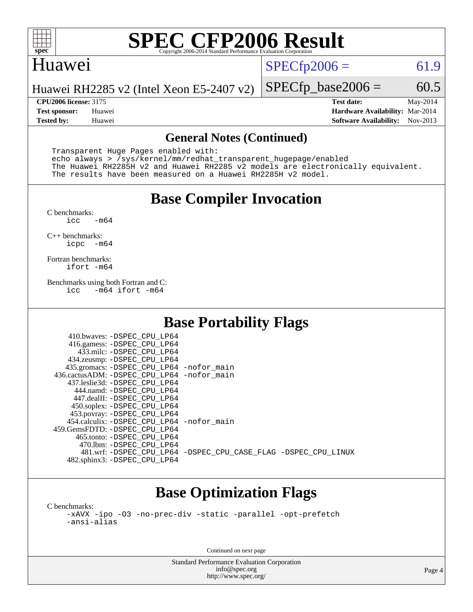

#### Huawei

 $SPECTp2006 = 61.9$ 

Huawei RH2285 v2 (Intel Xeon E5-2407 v2)

**[CPU2006 license:](http://www.spec.org/auto/cpu2006/Docs/result-fields.html#CPU2006license)** 3175 **[Test date:](http://www.spec.org/auto/cpu2006/Docs/result-fields.html#Testdate)** May-2014 **[Test sponsor:](http://www.spec.org/auto/cpu2006/Docs/result-fields.html#Testsponsor)** Huawei **[Hardware Availability:](http://www.spec.org/auto/cpu2006/Docs/result-fields.html#HardwareAvailability)** Mar-2014 **[Tested by:](http://www.spec.org/auto/cpu2006/Docs/result-fields.html#Testedby)** Huawei **[Software Availability:](http://www.spec.org/auto/cpu2006/Docs/result-fields.html#SoftwareAvailability)** Nov-2013

 $SPECTp\_base2006 = 60.5$ 

#### **[General Notes \(Continued\)](http://www.spec.org/auto/cpu2006/Docs/result-fields.html#GeneralNotes)**

 Transparent Huge Pages enabled with: echo always > /sys/kernel/mm/redhat\_transparent\_hugepage/enabled The Huawei RH2285H v2 and Huawei RH2285 v2 models are electronically equivalent. The results have been measured on a Huawei RH2285H v2 model.

### **[Base Compiler Invocation](http://www.spec.org/auto/cpu2006/Docs/result-fields.html#BaseCompilerInvocation)**

 $C$  benchmarks:<br>icc  $-m64$ 

[C++ benchmarks:](http://www.spec.org/auto/cpu2006/Docs/result-fields.html#CXXbenchmarks) [icpc -m64](http://www.spec.org/cpu2006/results/res2014q3/cpu2006-20140719-30526.flags.html#user_CXXbase_intel_icpc_64bit_bedb90c1146cab66620883ef4f41a67e)

[Fortran benchmarks](http://www.spec.org/auto/cpu2006/Docs/result-fields.html#Fortranbenchmarks): [ifort -m64](http://www.spec.org/cpu2006/results/res2014q3/cpu2006-20140719-30526.flags.html#user_FCbase_intel_ifort_64bit_ee9d0fb25645d0210d97eb0527dcc06e)

[Benchmarks using both Fortran and C](http://www.spec.org/auto/cpu2006/Docs/result-fields.html#BenchmarksusingbothFortranandC):<br>icc -m64 ifort -m64  $-m64$  ifort  $-m64$ 

### **[Base Portability Flags](http://www.spec.org/auto/cpu2006/Docs/result-fields.html#BasePortabilityFlags)**

| 435.gromacs: -DSPEC_CPU_LP64 -nofor_main                       |
|----------------------------------------------------------------|
| 436.cactusADM: - DSPEC CPU LP64 - nofor main                   |
|                                                                |
|                                                                |
|                                                                |
|                                                                |
|                                                                |
| 454.calculix: -DSPEC CPU LP64 -nofor main                      |
|                                                                |
|                                                                |
|                                                                |
| 481.wrf: -DSPEC CPU_LP64 -DSPEC_CPU_CASE_FLAG -DSPEC_CPU_LINUX |
|                                                                |
|                                                                |

## **[Base Optimization Flags](http://www.spec.org/auto/cpu2006/Docs/result-fields.html#BaseOptimizationFlags)**

[C benchmarks](http://www.spec.org/auto/cpu2006/Docs/result-fields.html#Cbenchmarks): [-xAVX](http://www.spec.org/cpu2006/results/res2014q3/cpu2006-20140719-30526.flags.html#user_CCbase_f-xAVX) [-ipo](http://www.spec.org/cpu2006/results/res2014q3/cpu2006-20140719-30526.flags.html#user_CCbase_f-ipo) [-O3](http://www.spec.org/cpu2006/results/res2014q3/cpu2006-20140719-30526.flags.html#user_CCbase_f-O3) [-no-prec-div](http://www.spec.org/cpu2006/results/res2014q3/cpu2006-20140719-30526.flags.html#user_CCbase_f-no-prec-div) [-static](http://www.spec.org/cpu2006/results/res2014q3/cpu2006-20140719-30526.flags.html#user_CCbase_f-static) [-parallel](http://www.spec.org/cpu2006/results/res2014q3/cpu2006-20140719-30526.flags.html#user_CCbase_f-parallel) [-opt-prefetch](http://www.spec.org/cpu2006/results/res2014q3/cpu2006-20140719-30526.flags.html#user_CCbase_f-opt-prefetch) [-ansi-alias](http://www.spec.org/cpu2006/results/res2014q3/cpu2006-20140719-30526.flags.html#user_CCbase_f-ansi-alias)

Continued on next page

Standard Performance Evaluation Corporation [info@spec.org](mailto:info@spec.org) <http://www.spec.org/>

Page 4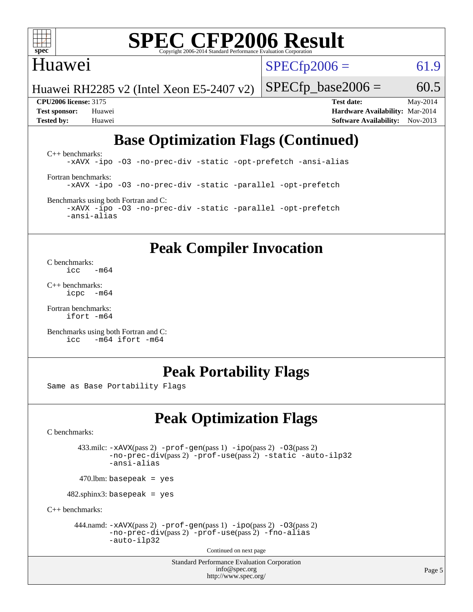

#### Huawei

 $SPECTp2006 = 61.9$ 

Huawei RH2285 v2 (Intel Xeon E5-2407 v2)

 $SPECTp\_base2006 = 60.5$ 

**[CPU2006 license:](http://www.spec.org/auto/cpu2006/Docs/result-fields.html#CPU2006license)** 3175 **[Test date:](http://www.spec.org/auto/cpu2006/Docs/result-fields.html#Testdate)** May-2014 **[Test sponsor:](http://www.spec.org/auto/cpu2006/Docs/result-fields.html#Testsponsor)** Huawei **[Hardware Availability:](http://www.spec.org/auto/cpu2006/Docs/result-fields.html#HardwareAvailability)** Mar-2014 **[Tested by:](http://www.spec.org/auto/cpu2006/Docs/result-fields.html#Testedby)** Huawei **[Software Availability:](http://www.spec.org/auto/cpu2006/Docs/result-fields.html#SoftwareAvailability)** Nov-2013

## **[Base Optimization Flags \(Continued\)](http://www.spec.org/auto/cpu2006/Docs/result-fields.html#BaseOptimizationFlags)**

[C++ benchmarks:](http://www.spec.org/auto/cpu2006/Docs/result-fields.html#CXXbenchmarks) [-xAVX](http://www.spec.org/cpu2006/results/res2014q3/cpu2006-20140719-30526.flags.html#user_CXXbase_f-xAVX) [-ipo](http://www.spec.org/cpu2006/results/res2014q3/cpu2006-20140719-30526.flags.html#user_CXXbase_f-ipo) [-O3](http://www.spec.org/cpu2006/results/res2014q3/cpu2006-20140719-30526.flags.html#user_CXXbase_f-O3) [-no-prec-div](http://www.spec.org/cpu2006/results/res2014q3/cpu2006-20140719-30526.flags.html#user_CXXbase_f-no-prec-div) [-static](http://www.spec.org/cpu2006/results/res2014q3/cpu2006-20140719-30526.flags.html#user_CXXbase_f-static) [-opt-prefetch](http://www.spec.org/cpu2006/results/res2014q3/cpu2006-20140719-30526.flags.html#user_CXXbase_f-opt-prefetch) [-ansi-alias](http://www.spec.org/cpu2006/results/res2014q3/cpu2006-20140719-30526.flags.html#user_CXXbase_f-ansi-alias) [Fortran benchmarks](http://www.spec.org/auto/cpu2006/Docs/result-fields.html#Fortranbenchmarks): [-xAVX](http://www.spec.org/cpu2006/results/res2014q3/cpu2006-20140719-30526.flags.html#user_FCbase_f-xAVX) [-ipo](http://www.spec.org/cpu2006/results/res2014q3/cpu2006-20140719-30526.flags.html#user_FCbase_f-ipo) [-O3](http://www.spec.org/cpu2006/results/res2014q3/cpu2006-20140719-30526.flags.html#user_FCbase_f-O3) [-no-prec-div](http://www.spec.org/cpu2006/results/res2014q3/cpu2006-20140719-30526.flags.html#user_FCbase_f-no-prec-div) [-static](http://www.spec.org/cpu2006/results/res2014q3/cpu2006-20140719-30526.flags.html#user_FCbase_f-static) [-parallel](http://www.spec.org/cpu2006/results/res2014q3/cpu2006-20140719-30526.flags.html#user_FCbase_f-parallel) [-opt-prefetch](http://www.spec.org/cpu2006/results/res2014q3/cpu2006-20140719-30526.flags.html#user_FCbase_f-opt-prefetch) [Benchmarks using both Fortran and C](http://www.spec.org/auto/cpu2006/Docs/result-fields.html#BenchmarksusingbothFortranandC):

[-xAVX](http://www.spec.org/cpu2006/results/res2014q3/cpu2006-20140719-30526.flags.html#user_CC_FCbase_f-xAVX) [-ipo](http://www.spec.org/cpu2006/results/res2014q3/cpu2006-20140719-30526.flags.html#user_CC_FCbase_f-ipo) [-O3](http://www.spec.org/cpu2006/results/res2014q3/cpu2006-20140719-30526.flags.html#user_CC_FCbase_f-O3) [-no-prec-div](http://www.spec.org/cpu2006/results/res2014q3/cpu2006-20140719-30526.flags.html#user_CC_FCbase_f-no-prec-div) [-static](http://www.spec.org/cpu2006/results/res2014q3/cpu2006-20140719-30526.flags.html#user_CC_FCbase_f-static) [-parallel](http://www.spec.org/cpu2006/results/res2014q3/cpu2006-20140719-30526.flags.html#user_CC_FCbase_f-parallel) [-opt-prefetch](http://www.spec.org/cpu2006/results/res2014q3/cpu2006-20140719-30526.flags.html#user_CC_FCbase_f-opt-prefetch) [-ansi-alias](http://www.spec.org/cpu2006/results/res2014q3/cpu2006-20140719-30526.flags.html#user_CC_FCbase_f-ansi-alias)

### **[Peak Compiler Invocation](http://www.spec.org/auto/cpu2006/Docs/result-fields.html#PeakCompilerInvocation)**

[C benchmarks](http://www.spec.org/auto/cpu2006/Docs/result-fields.html#Cbenchmarks):  $\frac{1}{2}$ cc  $-\text{m64}$ 

[C++ benchmarks:](http://www.spec.org/auto/cpu2006/Docs/result-fields.html#CXXbenchmarks) [icpc -m64](http://www.spec.org/cpu2006/results/res2014q3/cpu2006-20140719-30526.flags.html#user_CXXpeak_intel_icpc_64bit_bedb90c1146cab66620883ef4f41a67e)

[Fortran benchmarks](http://www.spec.org/auto/cpu2006/Docs/result-fields.html#Fortranbenchmarks): [ifort -m64](http://www.spec.org/cpu2006/results/res2014q3/cpu2006-20140719-30526.flags.html#user_FCpeak_intel_ifort_64bit_ee9d0fb25645d0210d97eb0527dcc06e)

[Benchmarks using both Fortran and C](http://www.spec.org/auto/cpu2006/Docs/result-fields.html#BenchmarksusingbothFortranandC): [icc -m64](http://www.spec.org/cpu2006/results/res2014q3/cpu2006-20140719-30526.flags.html#user_CC_FCpeak_intel_icc_64bit_0b7121f5ab7cfabee23d88897260401c) [ifort -m64](http://www.spec.org/cpu2006/results/res2014q3/cpu2006-20140719-30526.flags.html#user_CC_FCpeak_intel_ifort_64bit_ee9d0fb25645d0210d97eb0527dcc06e)

### **[Peak Portability Flags](http://www.spec.org/auto/cpu2006/Docs/result-fields.html#PeakPortabilityFlags)**

Same as Base Portability Flags

## **[Peak Optimization Flags](http://www.spec.org/auto/cpu2006/Docs/result-fields.html#PeakOptimizationFlags)**

[C benchmarks](http://www.spec.org/auto/cpu2006/Docs/result-fields.html#Cbenchmarks):

 433.milc: [-xAVX](http://www.spec.org/cpu2006/results/res2014q3/cpu2006-20140719-30526.flags.html#user_peakPASS2_CFLAGSPASS2_LDFLAGS433_milc_f-xAVX)(pass 2) [-prof-gen](http://www.spec.org/cpu2006/results/res2014q3/cpu2006-20140719-30526.flags.html#user_peakPASS1_CFLAGSPASS1_LDFLAGS433_milc_prof_gen_e43856698f6ca7b7e442dfd80e94a8fc)(pass 1) [-ipo](http://www.spec.org/cpu2006/results/res2014q3/cpu2006-20140719-30526.flags.html#user_peakPASS2_CFLAGSPASS2_LDFLAGS433_milc_f-ipo)(pass 2) [-O3](http://www.spec.org/cpu2006/results/res2014q3/cpu2006-20140719-30526.flags.html#user_peakPASS2_CFLAGSPASS2_LDFLAGS433_milc_f-O3)(pass 2) [-no-prec-div](http://www.spec.org/cpu2006/results/res2014q3/cpu2006-20140719-30526.flags.html#user_peakPASS2_CFLAGSPASS2_LDFLAGS433_milc_f-no-prec-div)(pass 2) [-prof-use](http://www.spec.org/cpu2006/results/res2014q3/cpu2006-20140719-30526.flags.html#user_peakPASS2_CFLAGSPASS2_LDFLAGS433_milc_prof_use_bccf7792157ff70d64e32fe3e1250b55)(pass 2) [-static](http://www.spec.org/cpu2006/results/res2014q3/cpu2006-20140719-30526.flags.html#user_peakOPTIMIZE433_milc_f-static) [-auto-ilp32](http://www.spec.org/cpu2006/results/res2014q3/cpu2006-20140719-30526.flags.html#user_peakCOPTIMIZE433_milc_f-auto-ilp32) [-ansi-alias](http://www.spec.org/cpu2006/results/res2014q3/cpu2006-20140719-30526.flags.html#user_peakCOPTIMIZE433_milc_f-ansi-alias)

 $470.$ lbm: basepeak = yes

482.sphinx3: basepeak = yes

[C++ benchmarks:](http://www.spec.org/auto/cpu2006/Docs/result-fields.html#CXXbenchmarks)

444.namd:  $-xAVX(pass 2)$  $-xAVX(pass 2)$  [-prof-gen](http://www.spec.org/cpu2006/results/res2014q3/cpu2006-20140719-30526.flags.html#user_peakPASS1_CXXFLAGSPASS1_LDFLAGS444_namd_prof_gen_e43856698f6ca7b7e442dfd80e94a8fc)(pass 1) [-ipo](http://www.spec.org/cpu2006/results/res2014q3/cpu2006-20140719-30526.flags.html#user_peakPASS2_CXXFLAGSPASS2_LDFLAGS444_namd_f-ipo)(pass 2) [-O3](http://www.spec.org/cpu2006/results/res2014q3/cpu2006-20140719-30526.flags.html#user_peakPASS2_CXXFLAGSPASS2_LDFLAGS444_namd_f-O3)(pass 2) [-no-prec-div](http://www.spec.org/cpu2006/results/res2014q3/cpu2006-20140719-30526.flags.html#user_peakPASS2_CXXFLAGSPASS2_LDFLAGS444_namd_f-no-prec-div)(pass 2) [-prof-use](http://www.spec.org/cpu2006/results/res2014q3/cpu2006-20140719-30526.flags.html#user_peakPASS2_CXXFLAGSPASS2_LDFLAGS444_namd_prof_use_bccf7792157ff70d64e32fe3e1250b55)(pass 2) [-fno-alias](http://www.spec.org/cpu2006/results/res2014q3/cpu2006-20140719-30526.flags.html#user_peakCXXOPTIMIZEOPTIMIZE444_namd_f-no-alias_694e77f6c5a51e658e82ccff53a9e63a) [-auto-ilp32](http://www.spec.org/cpu2006/results/res2014q3/cpu2006-20140719-30526.flags.html#user_peakCXXOPTIMIZE444_namd_f-auto-ilp32)

Continued on next page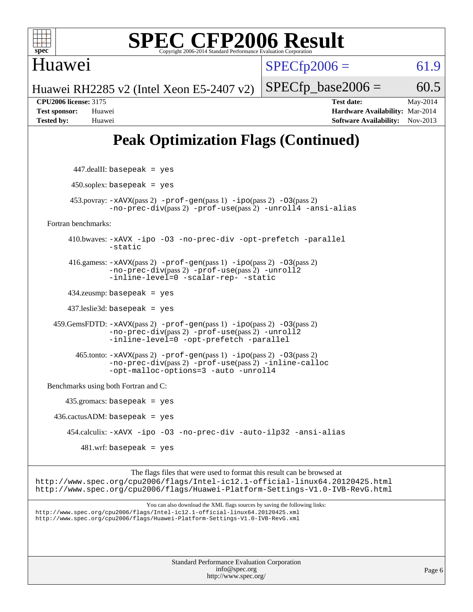

Huawei

 $SPECfp2006 = 61.9$  $SPECfp2006 = 61.9$ 

Huawei RH2285 v2 (Intel Xeon E5-2407 v2)

**[CPU2006 license:](http://www.spec.org/auto/cpu2006/Docs/result-fields.html#CPU2006license)** 3175 **[Test date:](http://www.spec.org/auto/cpu2006/Docs/result-fields.html#Testdate)** May-2014 **[Test sponsor:](http://www.spec.org/auto/cpu2006/Docs/result-fields.html#Testsponsor)** Huawei **[Hardware Availability:](http://www.spec.org/auto/cpu2006/Docs/result-fields.html#HardwareAvailability)** Mar-2014 **[Tested by:](http://www.spec.org/auto/cpu2006/Docs/result-fields.html#Testedby)** Huawei **[Software Availability:](http://www.spec.org/auto/cpu2006/Docs/result-fields.html#SoftwareAvailability)** Nov-2013

 $SPECTp\_base2006 = 60.5$ 

## **[Peak Optimization Flags \(Continued\)](http://www.spec.org/auto/cpu2006/Docs/result-fields.html#PeakOptimizationFlags)**

| $447$ .dealII: basepeak = yes                                                                                                                                                                                                              |        |
|--------------------------------------------------------------------------------------------------------------------------------------------------------------------------------------------------------------------------------------------|--------|
| $450$ .soplex: basepeak = yes                                                                                                                                                                                                              |        |
| $453.$ povray: $-xAVX(pass 2)$ -prof-gen(pass 1) -ipo(pass 2) -03(pass 2)<br>-no-prec-div(pass 2) -prof-use(pass 2) -unroll4 -ansi-alias                                                                                                   |        |
| Fortran benchmarks:                                                                                                                                                                                                                        |        |
| 410.bwaves: -xAVX -ipo -03 -no-prec-div -opt-prefetch -parallel<br>-static                                                                                                                                                                 |        |
| 416.gamess: $-xAVX(pass 2)$ -prof-gen(pass 1) -ipo(pass 2) -03(pass 2)<br>-no-prec-div(pass 2) -prof-use(pass 2) -unroll2<br>-inline-level=0 -scalar-rep- -static                                                                          |        |
| $434$ .zeusmp: basepeak = yes                                                                                                                                                                                                              |        |
| $437$ leslie3d: basepeak = yes                                                                                                                                                                                                             |        |
| $459.GemsFDTD: -xAVX(pass 2) -proj-gen(pass 1) -ipo(pass 2) -03(pass 2)$<br>-no-prec-div(pass 2) -prof-use(pass 2) -unroll2<br>-inline-level=0 -opt-prefetch -parallel                                                                     |        |
| $465$ .tonto: $-xAVX(pass 2)$ -prof-gen(pass 1) -ipo(pass 2) -03(pass 2)<br>-no-prec-div(pass 2) -prof-use(pass 2) -inline-calloc<br>-opt-malloc-options=3 -auto -unroll4                                                                  |        |
| Benchmarks using both Fortran and C:                                                                                                                                                                                                       |        |
| $435$ .gromacs: basepeak = yes                                                                                                                                                                                                             |        |
| $436.cactusADM: basepeak = yes$                                                                                                                                                                                                            |        |
| 454.calculix: -xAVX -ipo -03 -no-prec-div -auto-ilp32 -ansi-alias                                                                                                                                                                          |        |
| $481.wrf$ : basepeak = yes                                                                                                                                                                                                                 |        |
| The flags files that were used to format this result can be browsed at<br>http://www.spec.org/cpu2006/flags/Intel-ic12.1-official-linux64.20120425.html<br>http://www.spec.org/cpu2006/flags/Huawei-Platform-Settings-V1.0-IVB-RevG.html   |        |
| You can also download the XML flags sources by saving the following links:<br>http://www.spec.org/cpu2006/flags/Intel-ic12.1-official-linux64.20120425.xml<br>http://www.spec.org/cpu2006/flags/Huawei-Platform-Settings-V1.0-IVB-RevG.xml |        |
| <b>Standard Performance Evaluation Corporation</b><br>info@spec.org<br>http://www.spec.org/                                                                                                                                                | Page 6 |